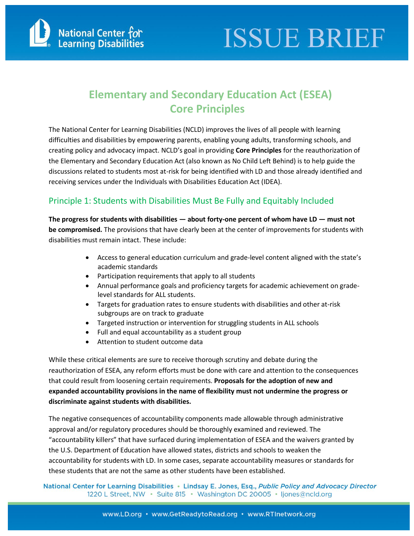

### **Elementary and Secondary Education Act (ESEA) Core Principles**

The National Center for Learning Disabilities (NCLD) improves the lives of all people with learning difficulties and disabilities by empowering parents, enabling young adults, transforming schools, and creating policy and advocacy impact. NCLD's goal in providing **Core Principles** for the reauthorization of the Elementary and Secondary Education Act (also known as No Child Left Behind) is to help guide the discussions related to students most at-risk for being identified with LD and those already identified and receiving services under the Individuals with Disabilities Education Act (IDEA).

#### Principle 1: Students with Disabilities Must Be Fully and Equitably Included

**The progress for students with disabilities — about forty-one percent of whom have LD — must not be compromised.** The provisions that have clearly been at the center of improvements for students with disabilities must remain intact. These include:

- Access to general education curriculum and grade-level content aligned with the state's academic standards
- Participation requirements that apply to all students
- Annual performance goals and proficiency targets for academic achievement on gradelevel standards for ALL students.
- Targets for graduation rates to ensure students with disabilities and other at-risk subgroups are on track to graduate
- Targeted instruction or intervention for struggling students in ALL schools
- Full and equal accountability as a student group
- Attention to student outcome data

While these critical elements are sure to receive thorough scrutiny and debate during the reauthorization of ESEA, any reform efforts must be done with care and attention to the consequences that could result from loosening certain requirements. **Proposals for the adoption of new and expanded accountability provisions in the name of flexibility must not undermine the progress or discriminate against students with disabilities.**

The negative consequences of accountability components made allowable through administrative approval and/or regulatory procedures should be thoroughly examined and reviewed. The "accountability killers" that have surfaced during implementation of ESEA and the waivers granted by the U.S. Department of Education have allowed states, districts and schools to weaken the accountability for students with LD. In some cases, separate accountability measures or standards for these students that are not the same as other students have been established.

National Center for Learning Disabilities • Lindsay E. Jones, Esq., Public Policy and Advocacy Director 1220 L Street, NW · Suite 815 · Washington DC 20005 · Ijones@ncld.org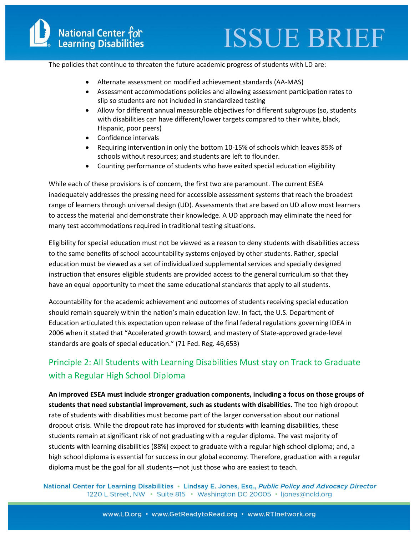The policies that continue to threaten the future academic progress of students with LD are:

- Alternate assessment on modified achievement standards (AA-MAS)
- Assessment accommodations policies and allowing assessment participation rates to slip so students are not included in standardized testing
- Allow for different annual [measurable](http://www.ncld.org/disability-advocacy/where-we-stand-policies/accountability) objectives for different subgroups (so, students with disabilities can have different/lower targets compared to their white, black, Hispanic, poor peers)
- Confidence intervals
- Requiring intervention in only the bottom 10-15% of schools which leaves 85% of schools without resources; and students are left to flounder.
- Counting performance of students who have exited special education eligibility

While each of these provisions is of concern, the first two are paramount. The current ESEA inadequately addresses the pressing need for accessible assessment systems that reach the broadest range of learners through universal design (UD). Assessments that are based on UD allow most learners to access the material and demonstrate their knowledge. A UD approach may eliminate the need for many test accommodations required in traditional testing situations.

Eligibility for special education must not be viewed as a reason to deny students with disabilities access to the same benefits of school accountability systems enjoyed by other students. Rather, special education must be viewed as a set of individualized supplemental services and specially designed instruction that ensures eligible students are provided access to the general curriculum so that they have an equal opportunity to meet the same educational standards that apply to all students.

Accountability for the academic achievement and outcomes of students receiving special education should remain squarely within the nation's main education law. In fact, the U.S. Department of Education articulated this expectation upon release of the final federal regulations governing IDEA in 2006 when it stated that "Accelerated growth toward, and mastery of State-approved grade-level standards are goals of special education." (71 Fed. Reg. 46,653)

#### Principle 2: All Students with Learning Disabilities Must stay on Track to Graduate with a Regular High School Diploma

**An improved ESEA must include stronger graduation components, including a focus on those groups of students that need substantial improvement, such as students with disabilities.** The too high dropout rate of students with disabilities must become part of the larger conversation about our national dropout crisis. While the dropout rate has improved for students with learning disabilities, these students remain at significant risk of not graduating with a regular diploma. The vast majority of students with learning disabilities (88%) expect to graduate with a regular high school diploma; and, a high school diploma is essential for success in our global economy. Therefore, graduation with a regular diploma must be the goal for all students—not just those who are easiest to teach.

National Center for Learning Disabilities • Lindsay E. Jones, Esq., Public Policy and Advocacy Director 1220 L Street, NW · Suite 815 · Washington DC 20005 · Ijones@ncld.org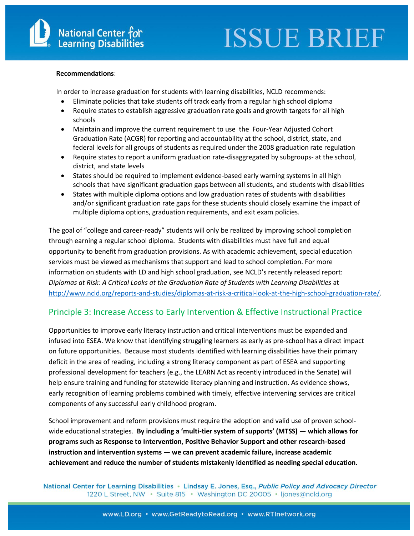#### **Recommendations**:

In order to increase graduation for students with learning disabilities, NCLD recommends:

- Eliminate policies that take students off track early from a regular high school diploma
- Require states to establish aggressive graduation rate goals and growth targets for all high schools
- Maintain and improve the current requirement to use the Four-Year Adjusted Cohort Graduation Rate (ACGR) for reporting and accountability at the school, district, state, and federal levels for all groups of students as required under the 2008 graduation rate regulation
- Require states to report a uniform graduation rate-disaggregated by subgroups- at the school, district, and state levels
- States should be required to implement evidence-based early warning systems in all high schools that have significant graduation gaps between all students, and students with disabilities
- States with multiple diploma options and low graduation rates of students with disabilities and/or significant graduation rate gaps for these students should closely examine the impact of multiple diploma options, graduation requirements, and exit exam policies.

The goal of "college and career-ready" students will only be realized by improving school completion through earning a regular school diploma. Students with disabilities must have full and equal opportunity to benefit from graduation provisions. As with academic achievement, special education services must be viewed as mechanisms that support and lead to school completion. For more information on students with LD and high school graduation, see NCLD's recently released report: *Diplomas at Risk: A Critical Looks at the Graduation Rate of Students with Learning Disabilities* at [http://www.ncld.org/reports-and-studies/diplomas-at-risk-a-critical-look-at-the-high-school-graduation-rate/.](http://www.ld.org/DiplomaReport)

#### Principle 3: Increase Access to Early Intervention & Effective Instructional Practice

Opportunities to improve early literacy instruction and critical interventions must be expanded and infused into ESEA. We know that identifying struggling learners as early as pre-school has a direct impact on future opportunities. Because most students identified with learning disabilities have their primary deficit in the area of reading, including a strong literacy component as part of ESEA and supporting professional development for teachers (e.g., the LEARN Act as recently introduced in the Senate) will help ensure training and funding for statewide literacy planning and instruction. As evidence shows, early recognition of learning problems combined with timely, effective intervening services are critical components of any successful early childhood program.

School improvement and reform provisions must require the adoption and valid use of proven schoolwide educational strategies. **By including a 'multi-tier system of supports' (MTSS) — which allows for programs such as Response to Intervention, Positive Behavior Support and other research-based instruction and intervention systems — we can prevent academic failure, increase academic achievement and reduce the number of students mistakenly identified as needing special education.**

National Center for Learning Disabilities • Lindsay E. Jones, Esq., Public Policy and Advocacy Director 1220 L Street, NW · Suite 815 · Washington DC 20005 · Ijones@ncld.org